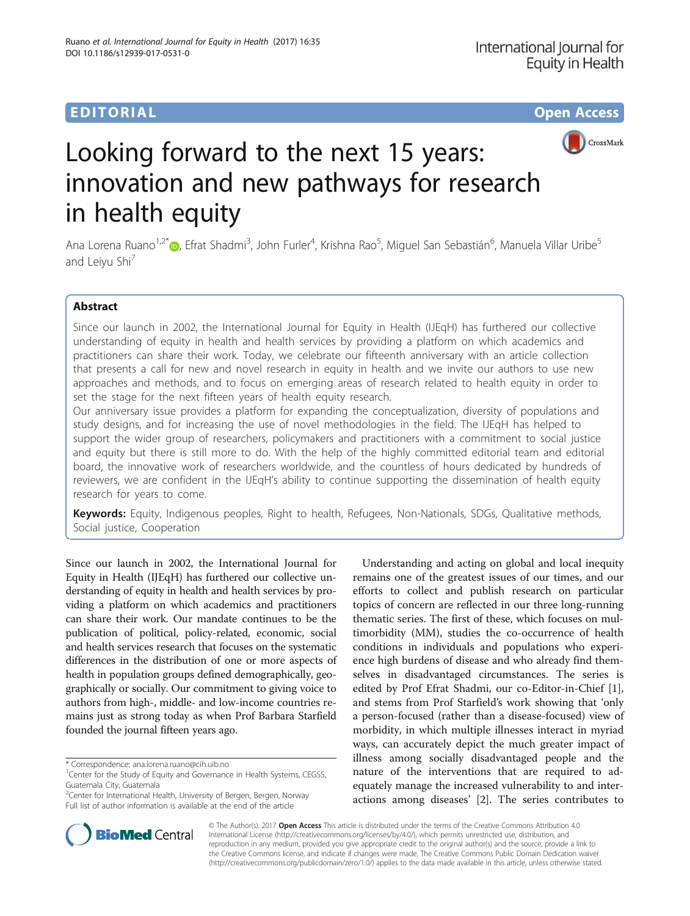



# Looking forward to the next 15 years: innovation and new pathways for research in health equity

Ana Lorena Ruano<sup>1,2[\\*](http://orcid.org/0000-0003-3913-4228)</sup>®, Efrat Shadmi<sup>3</sup>, John Furler<sup>4</sup>, Krishna Rao<sup>5</sup>, Miguel San Sebastián<sup>6</sup>, Manuela Villar Uribe<sup>5</sup> and Leiyu Shi<sup>7</sup>

# Abstract

Since our launch in 2002, the International Journal for Equity in Health (IJEqH) has furthered our collective understanding of equity in health and health services by providing a platform on which academics and practitioners can share their work. Today, we celebrate our fifteenth anniversary with an article collection that presents a call for new and novel research in equity in health and we invite our authors to use new approaches and methods, and to focus on emerging areas of research related to health equity in order to set the stage for the next fifteen years of health equity research.

Our anniversary issue provides a platform for expanding the conceptualization, diversity of populations and study designs, and for increasing the use of novel methodologies in the field. The IJEqH has helped to support the wider group of researchers, policymakers and practitioners with a commitment to social justice and equity but there is still more to do. With the help of the highly committed editorial team and editorial board, the innovative work of researchers worldwide, and the countless of hours dedicated by hundreds of reviewers, we are confident in the IJEqH's ability to continue supporting the dissemination of health equity research for years to come.

Keywords: Equity, Indigenous peoples, Right to health, Refugees, Non-Nationals, SDGs, Qualitative methods, Social justice, Cooperation

Since our launch in 2002, the International Journal for Equity in Health (IJEqH) has furthered our collective understanding of equity in health and health services by providing a platform on which academics and practitioners can share their work. Our mandate continues to be the publication of political, policy-related, economic, social and health services research that focuses on the systematic differences in the distribution of one or more aspects of health in population groups defined demographically, geographically or socially. Our commitment to giving voice to authors from high-, middle- and low-income countries remains just as strong today as when Prof Barbara Starfield founded the journal fifteen years ago.

Understanding and acting on global and local inequity remains one of the greatest issues of our times, and our efforts to collect and publish research on particular topics of concern are reflected in our three long-running thematic series. The first of these, which focuses on multimorbidity (MM), studies the co-occurrence of health conditions in individuals and populations who experience high burdens of disease and who already find themselves in disadvantaged circumstances. The series is edited by Prof Efrat Shadmi, our co-Editor-in-Chief [\[1](#page-2-0)], and stems from Prof Starfield's work showing that 'only a person-focused (rather than a disease-focused) view of morbidity, in which multiple illnesses interact in myriad ways, can accurately depict the much greater impact of illness among socially disadvantaged people and the nature of the interventions that are required to adequately manage the increased vulnerability to and interactions among diseases' [\[2](#page-2-0)]. The series contributes to



© The Author(s). 2017 **Open Access** This article is distributed under the terms of the Creative Commons Attribution 4.0 International License [\(http://creativecommons.org/licenses/by/4.0/](http://creativecommons.org/licenses/by/4.0/)), which permits unrestricted use, distribution, and reproduction in any medium, provided you give appropriate credit to the original author(s) and the source, provide a link to the Creative Commons license, and indicate if changes were made. The Creative Commons Public Domain Dedication waiver [\(http://creativecommons.org/publicdomain/zero/1.0/](http://creativecommons.org/publicdomain/zero/1.0/)) applies to the data made available in this article, unless otherwise stated.

<sup>\*</sup> Correspondence: [ana.lorena.ruano@cih.uib.no](mailto:ana.lorena.ruano@cih.uib.no) <sup>1</sup>

<sup>&</sup>lt;sup>1</sup>Center for the Study of Equity and Governance in Health Systems, CEGSS, Guatemala City, Guatemala

<sup>&</sup>lt;sup>2</sup> Center for International Health, University of Bergen, Bergen, Norway Full list of author information is available at the end of the article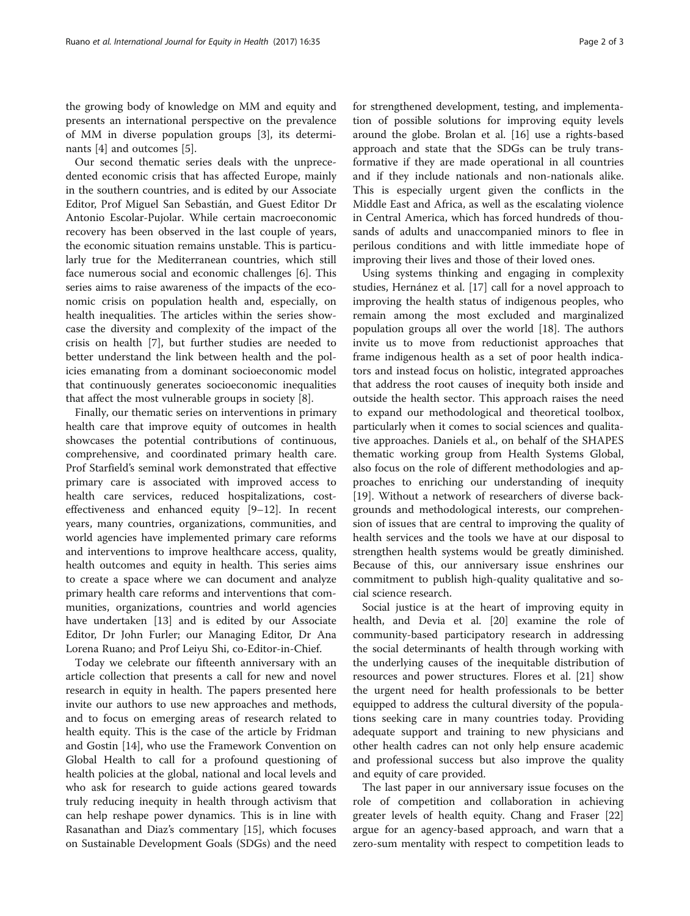the growing body of knowledge on MM and equity and presents an international perspective on the prevalence of MM in diverse population groups [\[3](#page-2-0)], its determinants [\[4\]](#page-2-0) and outcomes [[5\]](#page-2-0).

Our second thematic series deals with the unprecedented economic crisis that has affected Europe, mainly in the southern countries, and is edited by our Associate Editor, Prof Miguel San Sebastián, and Guest Editor Dr Antonio Escolar-Pujolar. While certain macroeconomic recovery has been observed in the last couple of years, the economic situation remains unstable. This is particularly true for the Mediterranean countries, which still face numerous social and economic challenges [[6](#page-2-0)]. This series aims to raise awareness of the impacts of the economic crisis on population health and, especially, on health inequalities. The articles within the series showcase the diversity and complexity of the impact of the crisis on health [[7\]](#page-2-0), but further studies are needed to better understand the link between health and the policies emanating from a dominant socioeconomic model that continuously generates socioeconomic inequalities that affect the most vulnerable groups in society [[8\]](#page-2-0).

Finally, our thematic series on interventions in primary health care that improve equity of outcomes in health showcases the potential contributions of continuous, comprehensive, and coordinated primary health care. Prof Starfield's seminal work demonstrated that effective primary care is associated with improved access to health care services, reduced hospitalizations, costeffectiveness and enhanced equity [[9](#page-2-0)–[12](#page-2-0)]. In recent years, many countries, organizations, communities, and world agencies have implemented primary care reforms and interventions to improve healthcare access, quality, health outcomes and equity in health. This series aims to create a space where we can document and analyze primary health care reforms and interventions that communities, organizations, countries and world agencies have undertaken [[13\]](#page-2-0) and is edited by our Associate Editor, Dr John Furler; our Managing Editor, Dr Ana Lorena Ruano; and Prof Leiyu Shi, co-Editor-in-Chief.

Today we celebrate our fifteenth anniversary with an article collection that presents a call for new and novel research in equity in health. The papers presented here invite our authors to use new approaches and methods, and to focus on emerging areas of research related to health equity. This is the case of the article by Fridman and Gostin [\[14](#page-2-0)], who use the Framework Convention on Global Health to call for a profound questioning of health policies at the global, national and local levels and who ask for research to guide actions geared towards truly reducing inequity in health through activism that can help reshape power dynamics. This is in line with Rasanathan and Diaz's commentary [\[15\]](#page-2-0), which focuses on Sustainable Development Goals (SDGs) and the need for strengthened development, testing, and implementation of possible solutions for improving equity levels around the globe. Brolan et al. [\[16](#page-2-0)] use a rights-based approach and state that the SDGs can be truly transformative if they are made operational in all countries and if they include nationals and non-nationals alike. This is especially urgent given the conflicts in the Middle East and Africa, as well as the escalating violence in Central America, which has forced hundreds of thousands of adults and unaccompanied minors to flee in perilous conditions and with little immediate hope of improving their lives and those of their loved ones.

Using systems thinking and engaging in complexity studies, Hernánez et al. [[17\]](#page-2-0) call for a novel approach to improving the health status of indigenous peoples, who remain among the most excluded and marginalized population groups all over the world [\[18](#page-2-0)]. The authors invite us to move from reductionist approaches that frame indigenous health as a set of poor health indicators and instead focus on holistic, integrated approaches that address the root causes of inequity both inside and outside the health sector. This approach raises the need to expand our methodological and theoretical toolbox, particularly when it comes to social sciences and qualitative approaches. Daniels et al., on behalf of the SHAPES thematic working group from Health Systems Global, also focus on the role of different methodologies and approaches to enriching our understanding of inequity [[19\]](#page-2-0). Without a network of researchers of diverse backgrounds and methodological interests, our comprehension of issues that are central to improving the quality of health services and the tools we have at our disposal to strengthen health systems would be greatly diminished. Because of this, our anniversary issue enshrines our commitment to publish high-quality qualitative and social science research.

Social justice is at the heart of improving equity in health, and Devia et al. [\[20\]](#page-2-0) examine the role of community-based participatory research in addressing the social determinants of health through working with the underlying causes of the inequitable distribution of resources and power structures. Flores et al. [\[21](#page-2-0)] show the urgent need for health professionals to be better equipped to address the cultural diversity of the populations seeking care in many countries today. Providing adequate support and training to new physicians and other health cadres can not only help ensure academic and professional success but also improve the quality and equity of care provided.

The last paper in our anniversary issue focuses on the role of competition and collaboration in achieving greater levels of health equity. Chang and Fraser [[22](#page-2-0)] argue for an agency-based approach, and warn that a zero-sum mentality with respect to competition leads to